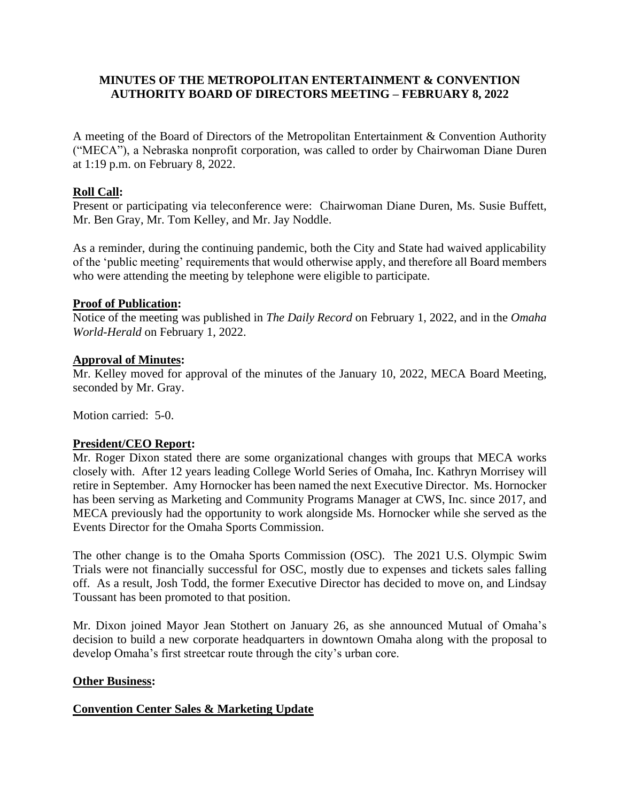## **MINUTES OF THE METROPOLITAN ENTERTAINMENT & CONVENTION AUTHORITY BOARD OF DIRECTORS MEETING – FEBRUARY 8, 2022**

A meeting of the Board of Directors of the Metropolitan Entertainment & Convention Authority ("MECA"), a Nebraska nonprofit corporation, was called to order by Chairwoman Diane Duren at 1:19 p.m. on February 8, 2022.

# **Roll Call:**

Present or participating via teleconference were: Chairwoman Diane Duren, Ms. Susie Buffett, Mr. Ben Gray, Mr. Tom Kelley, and Mr. Jay Noddle.

As a reminder, during the continuing pandemic, both the City and State had waived applicability of the 'public meeting' requirements that would otherwise apply, and therefore all Board members who were attending the meeting by telephone were eligible to participate.

## **Proof of Publication:**

Notice of the meeting was published in *The Daily Record* on February 1, 2022, and in the *Omaha World-Herald* on February 1, 2022.

## **Approval of Minutes:**

Mr. Kelley moved for approval of the minutes of the January 10, 2022, MECA Board Meeting, seconded by Mr. Gray.

Motion carried: 5-0.

# **President/CEO Report:**

Mr. Roger Dixon stated there are some organizational changes with groups that MECA works closely with. After 12 years leading College World Series of Omaha, Inc. Kathryn Morrisey will retire in September. Amy Hornocker has been named the next Executive Director. Ms. Hornocker has been serving as Marketing and Community Programs Manager at CWS, Inc. since 2017, and MECA previously had the opportunity to work alongside Ms. Hornocker while she served as the Events Director for the Omaha Sports Commission.

The other change is to the Omaha Sports Commission (OSC). The 2021 U.S. Olympic Swim Trials were not financially successful for OSC, mostly due to expenses and tickets sales falling off. As a result, Josh Todd, the former Executive Director has decided to move on, and Lindsay Toussant has been promoted to that position.

Mr. Dixon joined Mayor Jean Stothert on January 26, as she announced Mutual of Omaha's decision to build a new corporate headquarters in downtown Omaha along with the proposal to develop Omaha's first streetcar route through the city's urban core.

# **Other Business:**

# **Convention Center Sales & Marketing Update**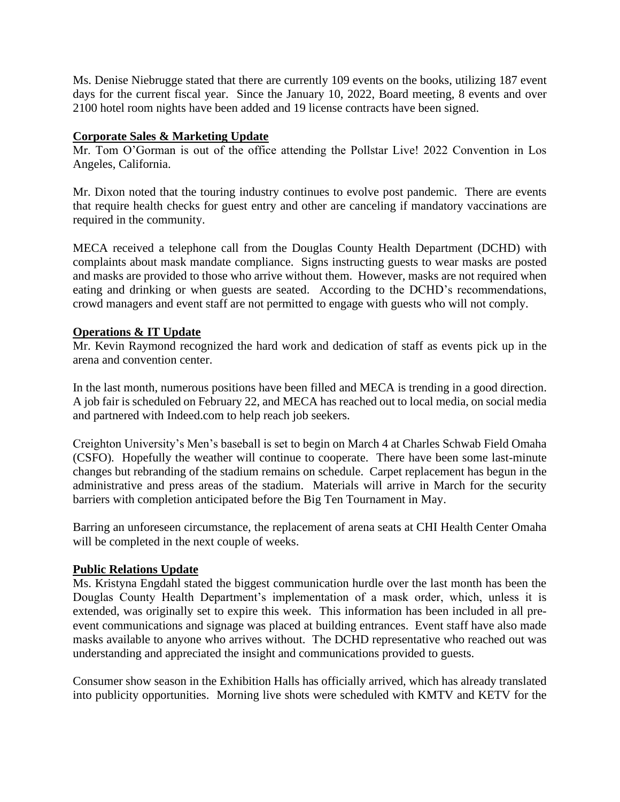Ms. Denise Niebrugge stated that there are currently 109 events on the books, utilizing 187 event days for the current fiscal year. Since the January 10, 2022, Board meeting, 8 events and over 2100 hotel room nights have been added and 19 license contracts have been signed.

# **Corporate Sales & Marketing Update**

Mr. Tom O'Gorman is out of the office attending the Pollstar Live! 2022 Convention in Los Angeles, California.

Mr. Dixon noted that the touring industry continues to evolve post pandemic. There are events that require health checks for guest entry and other are canceling if mandatory vaccinations are required in the community.

MECA received a telephone call from the Douglas County Health Department (DCHD) with complaints about mask mandate compliance. Signs instructing guests to wear masks are posted and masks are provided to those who arrive without them. However, masks are not required when eating and drinking or when guests are seated. According to the DCHD's recommendations, crowd managers and event staff are not permitted to engage with guests who will not comply.

## **Operations & IT Update**

Mr. Kevin Raymond recognized the hard work and dedication of staff as events pick up in the arena and convention center.

In the last month, numerous positions have been filled and MECA is trending in a good direction. A job fair is scheduled on February 22, and MECA has reached out to local media, on social media and partnered with Indeed.com to help reach job seekers.

Creighton University's Men's baseball is set to begin on March 4 at Charles Schwab Field Omaha (CSFO). Hopefully the weather will continue to cooperate. There have been some last-minute changes but rebranding of the stadium remains on schedule. Carpet replacement has begun in the administrative and press areas of the stadium. Materials will arrive in March for the security barriers with completion anticipated before the Big Ten Tournament in May.

Barring an unforeseen circumstance, the replacement of arena seats at CHI Health Center Omaha will be completed in the next couple of weeks.

### **Public Relations Update**

Ms. Kristyna Engdahl stated the biggest communication hurdle over the last month has been the Douglas County Health Department's implementation of a mask order, which, unless it is extended, was originally set to expire this week. This information has been included in all preevent communications and signage was placed at building entrances. Event staff have also made masks available to anyone who arrives without. The DCHD representative who reached out was understanding and appreciated the insight and communications provided to guests.

Consumer show season in the Exhibition Halls has officially arrived, which has already translated into publicity opportunities. Morning live shots were scheduled with KMTV and KETV for the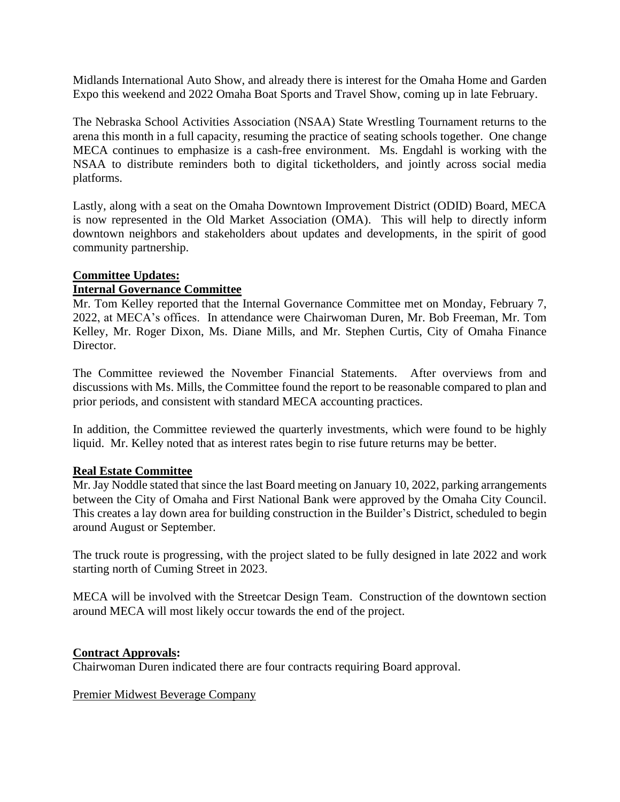Midlands International Auto Show, and already there is interest for the Omaha Home and Garden Expo this weekend and 2022 Omaha Boat Sports and Travel Show, coming up in late February.

The Nebraska School Activities Association (NSAA) State Wrestling Tournament returns to the arena this month in a full capacity, resuming the practice of seating schools together. One change MECA continues to emphasize is a cash-free environment. Ms. Engdahl is working with the NSAA to distribute reminders both to digital ticketholders, and jointly across social media platforms.

Lastly, along with a seat on the Omaha Downtown Improvement District (ODID) Board, MECA is now represented in the Old Market Association (OMA). This will help to directly inform downtown neighbors and stakeholders about updates and developments, in the spirit of good community partnership.

# **Committee Updates:**

## **Internal Governance Committee**

Mr. Tom Kelley reported that the Internal Governance Committee met on Monday, February 7, 2022, at MECA's offices. In attendance were Chairwoman Duren, Mr. Bob Freeman, Mr. Tom Kelley, Mr. Roger Dixon, Ms. Diane Mills, and Mr. Stephen Curtis, City of Omaha Finance Director.

The Committee reviewed the November Financial Statements. After overviews from and discussions with Ms. Mills, the Committee found the report to be reasonable compared to plan and prior periods, and consistent with standard MECA accounting practices.

In addition, the Committee reviewed the quarterly investments, which were found to be highly liquid. Mr. Kelley noted that as interest rates begin to rise future returns may be better.

### **Real Estate Committee**

Mr. Jay Noddle stated that since the last Board meeting on January 10, 2022, parking arrangements between the City of Omaha and First National Bank were approved by the Omaha City Council. This creates a lay down area for building construction in the Builder's District, scheduled to begin around August or September.

The truck route is progressing, with the project slated to be fully designed in late 2022 and work starting north of Cuming Street in 2023.

MECA will be involved with the Streetcar Design Team. Construction of the downtown section around MECA will most likely occur towards the end of the project.

### **Contract Approvals:**

Chairwoman Duren indicated there are four contracts requiring Board approval.

Premier Midwest Beverage Company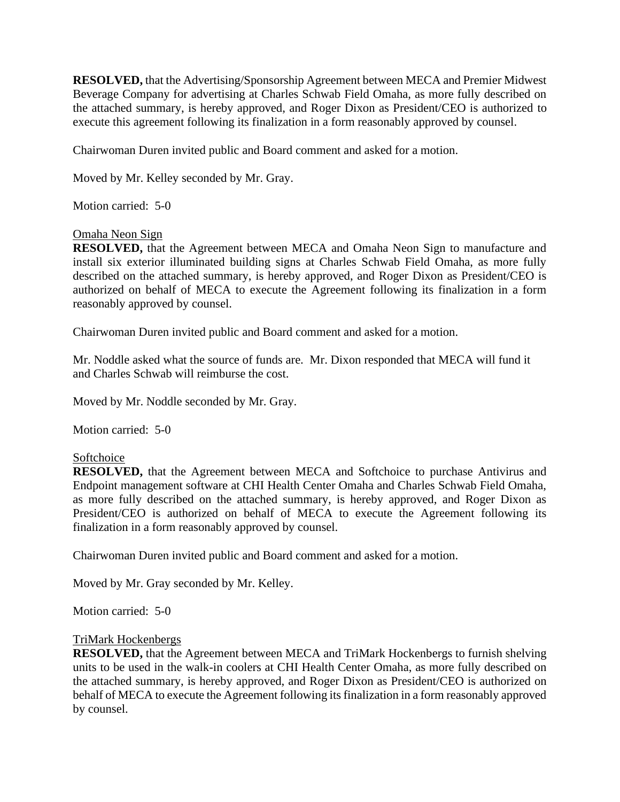**RESOLVED,** that the Advertising/Sponsorship Agreement between MECA and Premier Midwest Beverage Company for advertising at Charles Schwab Field Omaha, as more fully described on the attached summary, is hereby approved, and Roger Dixon as President/CEO is authorized to execute this agreement following its finalization in a form reasonably approved by counsel.

Chairwoman Duren invited public and Board comment and asked for a motion.

Moved by Mr. Kelley seconded by Mr. Gray.

Motion carried: 5-0

### Omaha Neon Sign

**RESOLVED,** that the Agreement between MECA and Omaha Neon Sign to manufacture and install six exterior illuminated building signs at Charles Schwab Field Omaha, as more fully described on the attached summary, is hereby approved, and Roger Dixon as President/CEO is authorized on behalf of MECA to execute the Agreement following its finalization in a form reasonably approved by counsel.

Chairwoman Duren invited public and Board comment and asked for a motion.

Mr. Noddle asked what the source of funds are. Mr. Dixon responded that MECA will fund it and Charles Schwab will reimburse the cost.

Moved by Mr. Noddle seconded by Mr. Gray.

Motion carried: 5-0

### Softchoice

**RESOLVED,** that the Agreement between MECA and Softchoice to purchase Antivirus and Endpoint management software at CHI Health Center Omaha and Charles Schwab Field Omaha, as more fully described on the attached summary, is hereby approved, and Roger Dixon as President/CEO is authorized on behalf of MECA to execute the Agreement following its finalization in a form reasonably approved by counsel.

Chairwoman Duren invited public and Board comment and asked for a motion.

Moved by Mr. Gray seconded by Mr. Kelley.

Motion carried: 5-0

#### TriMark Hockenbergs

**RESOLVED,** that the Agreement between MECA and TriMark Hockenbergs to furnish shelving units to be used in the walk-in coolers at CHI Health Center Omaha, as more fully described on the attached summary, is hereby approved, and Roger Dixon as President/CEO is authorized on behalf of MECA to execute the Agreement following its finalization in a form reasonably approved by counsel.